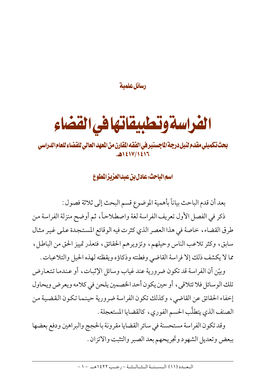رسائل علمية

## الفراسة وتطبيقاتها في القضاء

## بحث تكميلي مقدم لنيل درجة الماجستير في الفقه المقارن من العهد العالي للقضاء للعام الدراسي 1217/1213.

اسم الباحث: عادل بن عبد العزيز المطوع

بعد أن قدم الباحث بياناً بأهمية الموضوع قسم البحث إلى ثلاثة فصول : ذكر في الفصل الأول تعريف الفراسة لغة واصطلاحاً، ثم أوضح منزلة الفراسة من طرق القضاء، خاصة في هذا العصر الذي كثرت فيه الوقائع المستجدة على غير مثال سابق، وكثر تلاعب الناس وحيلهم، وتزويرهم الحقائق، فتعذر تمييز الحق من الباطل، مما لا يكشف ذلك إلا فراسة القاضي وفطنته وذكاؤه ويقظته لهذه الحيل والتلاعبات .

وبيّن أن الفر اسة قد تكون ضرورية عند غياب وسائل الإثبات، أو عندما تتعارض تلك الوسائل فلا تتلاقى، أو حين يكون أحد الخصمين يلحن في كلامه ويعرض ويحاول إخفاء الحقائق عن القاضي، وكذلك تكون الفراسة ضرورية حينما تكون القضية من الصنف الذي يتطلَّب الحسم الفوري، كالقضايا المستعجلة .

وقد تكون الفراسة مستحسنة في سائر القضايا مقرونة بالحجج والبراهين ودفع بعضها ببعض وتعديل الشهود وتجريحهم بعد الصبر والتثبت والاتزان .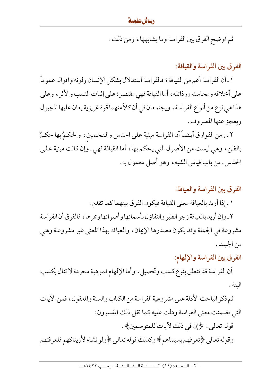ثم أوضح الفرق بين الفراسة وما يشابهها، ومن ذلك :

الفر ق بين الفر اسة والقيافة:

١ ـ أن الفراسة أعم من القيافة ؛ فالفراسة استدلال بشكل الإنسان ولونه وأقواله عموماً على أخلاقه ومحاسنه ورذائله ، أما القيافة فهي مقتصرة على إثبات النسب والأثر ، وعلى هذا هي نوع من أنواع الفراسة ، ويجتمعان في أن كلاً منهما قوة غريزية يعان عليها المجبول ويعجز عنها المصروف .

٢ ـ ومن الفوارق أيضاً أن الفراسة مبنية على الحدس والتخمين، والحكمُ بها حكمٌ بالظن، وهي ليست من الأصول التي يحكم بها، أما القيافة فهي ـ وإن كانت مبنية على الحدس ـ من باب قياس الشبه، وهو أصل معمول به .

الفرق بين الفراسة والعيافة: ١ ـ إذا أريد بالعيافة معنى القيافة فيكون الفرق بينهما كما تقدم . ٢ ـ وإن أريد بالعيافة زجر الطير والتفاؤل بأسمائها وأصواتها وممرها، فالفرق أن الفراسة

مشروعة في الجملة وقد يكون مصدرها الإيمان، والعيافة بهذا المعنى غير مشروعة وهي من الجبت .

الفرق بين الفراسة والإلهام:

أن الفراسة قد تتعلق بنوع كسب وتحصيل ، وأما الإلهام فموهبة مجردة لا تنال بكسب الىتة .

ثم ذكر الباحث الأدلة على مشروعية الفراسة من الكتاب والسنة والمعقول، فمن الآيات التي تضمنت معنى الفراسة ودلت عليه كما نقل ذلك المفسرون : قوله تعالى: ﴿إِن فِي ذَلِكَ لَأَياتِ لِلْمَتَوِسِمِينَ﴾ . وقوله تعالى ﴿تعرفهم بسيماهم﴾ وكذلك قوله تعالى ﴿ولو نشاء لأريناكهم فلعرفتهم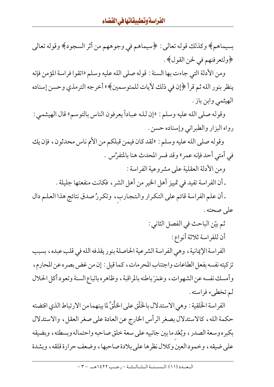بسيماهم﴾ وكذلك قوله تعالى: ﴿سيماهم في وجوههم من أثر السجود﴾ وقوله تعالى ﴿ولتعرفنهم في لحن القول﴾ .

ومن الأدلة التي جاءت بها السنة : قوله صلى الله عليه وسلم «اتقوا فراسة المؤمن فإنه ينظر بنور الله ثم قرأ ﴿إِن فِي ذلك لآيات للمتوسمين﴾» أخرجه الترمذي وحسن إسناده الهيثمي وابن باز .

وقوله صلى الله عليه وسلم : «إن لله عباداً يعرفون الناس بالتوسم» قال الهيثمي : رواه البزار والطبراني وإسناده حسن .

وقوله صلى الله عليه وسلم : «لقد كان فيمن قبلكم من الأمم ناس محدثون، فإن يك في أمتى أحد فإنه عمرٍ » وقد فسر المحدث هنا بالمتفرِّس .

ومن الأدلة العقلية على مشروعية الفراسة :

ـ أن الفراسة تفيد في تمييز أهل الخير من أهل الشر ، فكانت منفعتها جليلة .

ـ أن علم الفراسة قائم على التكرار والتجارب، وتكررُ صدق نتائج هذا العلم دال على صحته .

ثم بيّن الباحث في الفصل الثاني :

أن للفراسة ثلاثة أنواع :

الفراسة الإيمانية ، وهي الفراسة الشرعية الحاصلة بنور يقذفه الله في قلب عبده ، بسبب تزكيته نفسه بفعل الطاعات واجتناب المحرمات، كما قيل : إن من غض بصره عن المحارم، وأمسك نفسه عن الشهوات، وعَمَرَباطنه بالمراقبة، وظاهره باتباع السنة وتعود أكل الحلال لم تخطيء فراسته .

الفراسة الخَلقية : وهي الاستدلال بالخَلْق على الخلْقُ لما بينهما من الارتباط الذي اقتضته حكمة الله، كالاستدلال بصغر الرأس الخارج عن العادة على صغر العقل، والاستدلال بكبره وسعة الصدر ، وبُعْد ما بين جانبيه على سعة خلق صاحبه واحتماله وبسطته ، وبضيقه على ضيقه، وخمودالعين وكلال نظرها على بلادة صاحبها، وضعف حرارة قلقه، وبشدة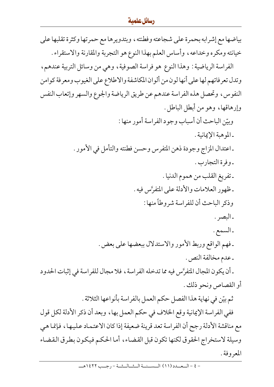بياضها مع إشرابه بحمرة على شجاعته وفطنته ، وبتدويرها مع حمرتها وكثرة تقلبها على خيانته ومكره وخداعه ، وأساس العلم بهذا النوع هو التجربة والمقارنة والاستقراء . الفراسة الرياضية : وهذا النوع هو فراسة الصوفية ، وهي من وسائل التربية عندهم ، وتدل تعرفاتهم لها على أنها لون من ألوان المكاشفة والاطلاع على الغيوب ومعرفة كوامن النفوس ، وتحصل هذه الفراسة عندهم عن طريق الرياضة والجوع والسهر وإتعاب النفس وإرهاقها، وهو من أبطل الباطل . وبيّن الباحث أن أسباب وجود الفراسة أمور منها : -الموهبة الإيمانية . ـ اعتدال المزاج وجودة ذهن المتفرس وحسن فطنته والتأمل في الأمور . ـ وفرة التجارب . ـ تفريغ القلب من هموم الدنيا . ـ ظهور العلامات والأدلة على المتفرَّس فيه . وذكر الباحث أن للفراسة شروطاً منها : ۔البصر . ـ السمع . ـ فهم الواقع وربط الأمور والاستدلال ببعضها على بعض . ـ عدم مخالفة النص . ـ أن يكون المجال المتفرَّس فيه مما تدخله الفراسة ، فلا مجال للفراسة في إثبات الحدود أو القصاص ونحو ذلك . ثم بيّن في نهاية هذا الفصل حكم العمل بالفراسة بأنواعها الثلاثة . ففي الفراسة الإيمانية وقع الخلاف في حكم العمل بها، وبعد أن ذكر الأدلة لكل قول مع مناقشة الأدلة رجح أن الفراسة تعد قرينة ضعيفة إذا كان الاعتماد عليها، فإنما هي وسيلة لاستخراج الحقوق لكنها تكون قبل القضاء، أما الحكم فيكون بطرق القضاء المعروفة .